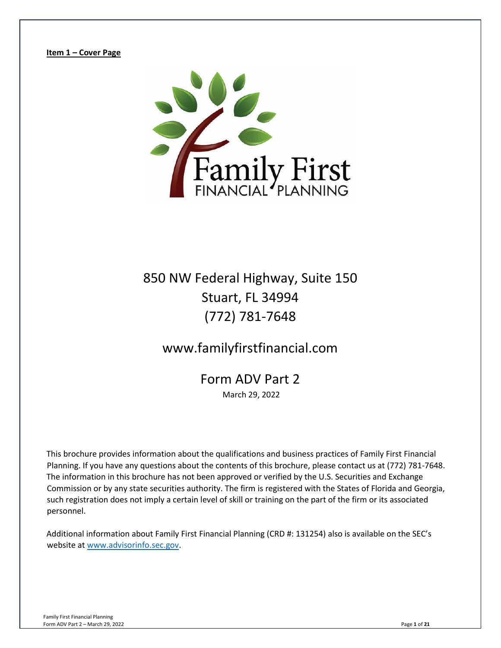<span id="page-0-0"></span>**Item 1 – Cover Page** 



850 NW Federal Highway, Suite 150 Stuart, FL 34994 (772) 781-7648

www.familyfirstfinancial.com

Form ADV Part 2 March 29, 2022

This brochure provides information about the qualifications and business practices of Family First Financial Planning. If you have any questions about the contents of this brochure, please contact us at (772) 781-7648. The information in this brochure has not been approved or verified by the U.S. Securities and Exchange Commission or by any state securities authority. The firm is registered with the States of Florida and Georgia, such registration does not imply a certain level of skill or training on the part of the firm or its associated personnel.

Additional information about Family First Financial Planning (CRD #: 131254) also is available on the SEC's website at [www.advisorinfo.sec.gov.](https://adviserinfo.sec.gov/)

Family First Financial Planning Form ADV Part 2 – March 29, 2022 Page **1** of **21**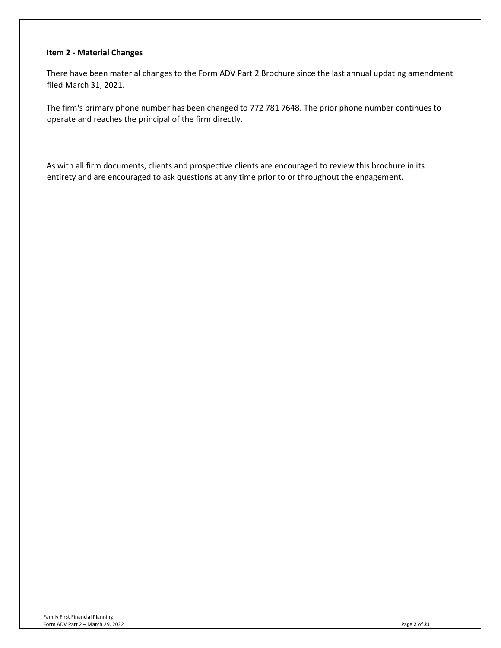## <span id="page-1-0"></span>**Item 2 - Material Changes**

There have been material changes to the Form ADV Part 2 Brochure since the last annual updating amendment filed March 31, 2021.

The firm's primary phone number has been changed to 772 781 7648. The prior phone number continues to operate and reaches the principal of the firm directly.

As with all firm documents, clients and prospective clients are encouraged to review this brochure in its entirety and are encouraged to ask questions at any time prior to or throughout the engagement.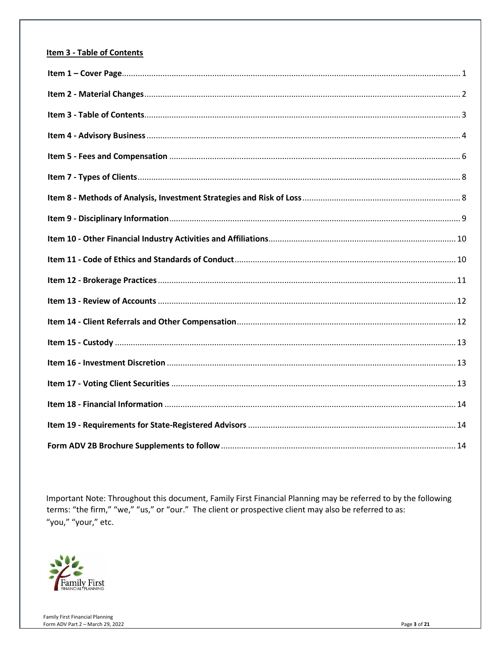## <span id="page-2-0"></span>**Item 3 - Table of Contents**

Important Note: Throughout this document, Family First Financial Planning may be referred to by the following terms: "the firm," "we," "us," or "our." The client or prospective client may also be referred to as: "you," "your," etc.

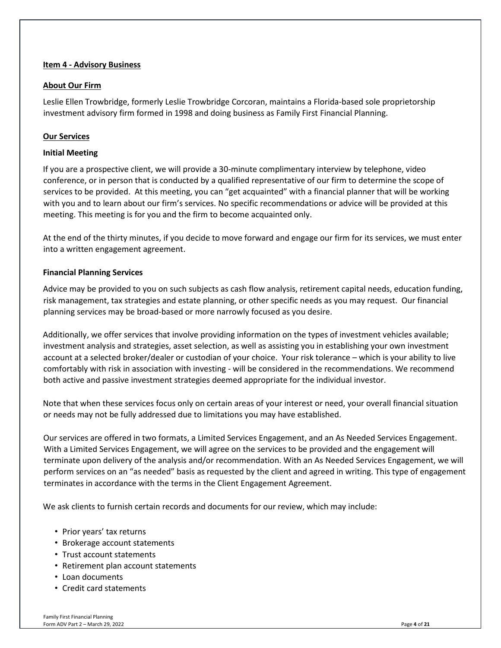## <span id="page-3-0"></span>**Item 4 - Advisory Business**

## **About Our Firm**

Leslie Ellen Trowbridge, formerly Leslie Trowbridge Corcoran, maintains a Florida-based sole proprietorship investment advisory firm formed in 1998 and doing business as Family First Financial Planning.

## **Our Services**

## **Initial Meeting**

If you are a prospective client, we will provide a 30-minute complimentary interview by telephone, video conference, or in person that is conducted by a qualified representative of our firm to determine the scope of services to be provided. At this meeting, you can "get acquainted" with a financial planner that will be working with you and to learn about our firm's services. No specific recommendations or advice will be provided at this meeting. This meeting is for you and the firm to become acquainted only.

At the end of the thirty minutes, if you decide to move forward and engage our firm for its services, we must enter into a written engagement agreement.

## **Financial Planning Services**

Advice may be provided to you on such subjects as cash flow analysis, retirement capital needs, education funding, risk management, tax strategies and estate planning, or other specific needs as you may request. Our financial planning services may be broad-based or more narrowly focused as you desire.

Additionally, we offer services that involve providing information on the types of investment vehicles available; investment analysis and strategies, asset selection, as well as assisting you in establishing your own investment account at a selected broker/dealer or custodian of your choice. Your risk tolerance – which is your ability to live comfortably with risk in association with investing - will be considered in the recommendations. We recommend both active and passive investment strategies deemed appropriate for the individual investor.

Note that when these services focus only on certain areas of your interest or need, your overall financial situation or needs may not be fully addressed due to limitations you may have established.

Our services are offered in two formats, a Limited Services Engagement, and an As Needed Services Engagement. With a Limited Services Engagement, we will agree on the services to be provided and the engagement will terminate upon delivery of the analysis and/or recommendation. With an As Needed Services Engagement, we will perform services on an "as needed" basis as requested by the client and agreed in writing. This type of engagement terminates in accordance with the terms in the Client Engagement Agreement.

We ask clients to furnish certain records and documents for our review, which may include:

- Prior years' tax returns
- Brokerage account statements
- Trust account statements
- Retirement plan account statements
- Loan documents
- Credit card statements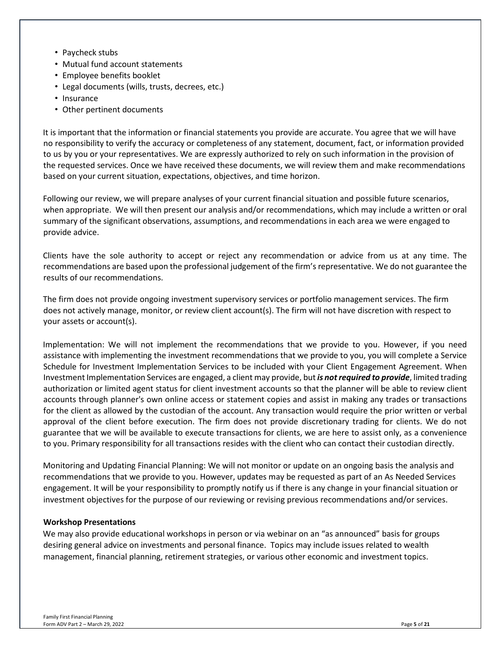- Paycheck stubs
- Mutual fund account statements
- Employee benefits booklet
- Legal documents (wills, trusts, decrees, etc.)
- Insurance
- Other pertinent documents

It is important that the information or financial statements you provide are accurate. You agree that we will have no responsibility to verify the accuracy or completeness of any statement, document, fact, or information provided to us by you or your representatives. We are expressly authorized to rely on such information in the provision of the requested services. Once we have received these documents, we will review them and make recommendations based on your current situation, expectations, objectives, and time horizon.

Following our review, we will prepare analyses of your current financial situation and possible future scenarios, when appropriate. We will then present our analysis and/or recommendations, which may include a written or oral summary of the significant observations, assumptions, and recommendations in each area we were engaged to provide advice.

Clients have the sole authority to accept or reject any recommendation or advice from us at any time. The recommendations are based upon the professional judgement of the firm's representative. We do not guarantee the results of our recommendations.

The firm does not provide ongoing investment supervisory services or portfolio management services. The firm does not actively manage, monitor, or review client account(s). The firm will not have discretion with respect to your assets or account(s).

Implementation: We will not implement the recommendations that we provide to you. However, if you need assistance with implementing the investment recommendations that we provide to you, you will complete a Service Schedule for Investment Implementation Services to be included with your Client Engagement Agreement. When Investment Implementation Services are engaged, a client may provide, but *is not required to provide*, limited trading authorization or limited agent status for client investment accounts so that the planner will be able to review client accounts through planner's own online access or statement copies and assist in making any trades or transactions for the client as allowed by the custodian of the account. Any transaction would require the prior written or verbal approval of the client before execution. The firm does not provide discretionary trading for clients. We do not guarantee that we will be available to execute transactions for clients, we are here to assist only, as a convenience to you. Primary responsibility for all transactions resides with the client who can contact their custodian directly.

Monitoring and Updating Financial Planning: We will not monitor or update on an ongoing basis the analysis and recommendations that we provide to you. However, updates may be requested as part of an As Needed Services engagement. It will be your responsibility to promptly notify us if there is any change in your financial situation or investment objectives for the purpose of our reviewing or revising previous recommendations and/or services.

## **Workshop Presentations**

We may also provide educational workshops in person or via webinar on an "as announced" basis for groups desiring general advice on investments and personal finance. Topics may include issues related to wealth management, financial planning, retirement strategies, or various other economic and investment topics.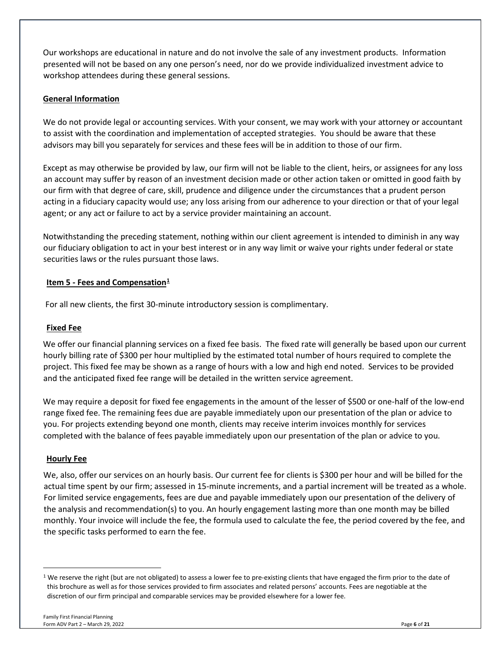Our workshops are educational in nature and do not involve the sale of any investment products. Information presented will not be based on any one person's need, nor do we provide individualized investment advice to workshop attendees during these general sessions.

# **General Information**

We do not provide legal or accounting services. With your consent, we may work with your attorney or accountant to assist with the coordination and implementation of accepted strategies. You should be aware that these advisors may bill you separately for services and these fees will be in addition to those of our firm.

Except as may otherwise be provided by law, our firm will not be liable to the client, heirs, or assignees for any loss an account may suffer by reason of an investment decision made or other action taken or omitted in good faith by our firm with that degree of care, skill, prudence and diligence under the circumstances that a prudent person acting in a fiduciary capacity would use; any loss arising from our adherence to your direction or that of your legal agent; or any act or failure to act by a service provider maintaining an account.

Notwithstanding the preceding statement, nothing within our client agreement is intended to diminish in any way our fiduciary obligation to act in your best interest or in any way limit or waive your rights under federal or state securities laws or the rules pursuant those laws.

# <span id="page-5-0"></span>**Item 5 - Fees and Compensation**<sup>[1](#page-5-1)</sup>

For all new clients, the first 30-minute introductory session is complimentary.

## **Fixed Fee**

We offer our financial planning services on a fixed fee basis. The fixed rate will generally be based upon our current hourly billing rate of \$300 per hour multiplied by the estimated total number of hours required to complete the project. This fixed fee may be shown as a range of hours with a low and high end noted. Services to be provided and the anticipated fixed fee range will be detailed in the written service agreement.

We may require a deposit for fixed fee engagements in the amount of the lesser of \$500 or one-half of the low-end range fixed fee. The remaining fees due are payable immediately upon our presentation of the plan or advice to you. For projects extending beyond one month, clients may receive interim invoices monthly for services completed with the balance of fees payable immediately upon our presentation of the plan or advice to you.

# **Hourly Fee**

We, also, offer our services on an hourly basis. Our current fee for clients is \$300 per hour and will be billed for the actual time spent by our firm; assessed in 15-minute increments, and a partial increment will be treated as a whole. For limited service engagements, fees are due and payable immediately upon our presentation of the delivery of the analysis and recommendation(s) to you. An hourly engagement lasting more than one month may be billed monthly. Your invoice will include the fee, the formula used to calculate the fee, the period covered by the fee, and the specific tasks performed to earn the fee.

<span id="page-5-1"></span> $1$  We reserve the right (but are not obligated) to assess a lower fee to pre-existing clients that have engaged the firm prior to the date of this brochure as well as for those services provided to firm associates and related persons' accounts. Fees are negotiable at the discretion of our firm principal and comparable services may be provided elsewhere for a lower fee.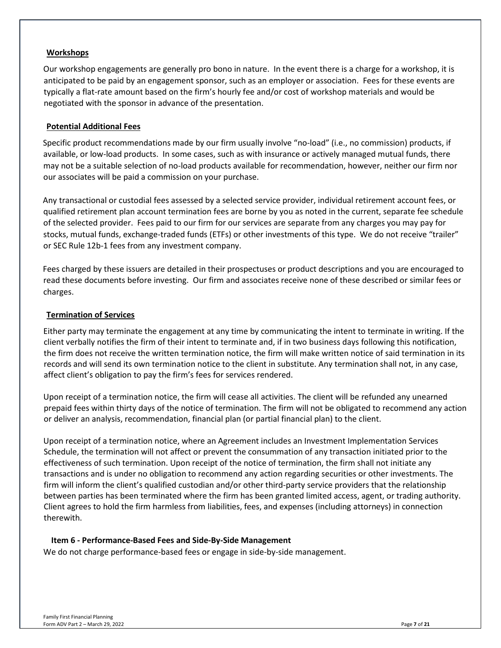## **Workshops**

Our workshop engagements are generally pro bono in nature. In the event there is a charge for a workshop, it is anticipated to be paid by an engagement sponsor, such as an employer or association. Fees for these events are typically a flat-rate amount based on the firm's hourly fee and/or cost of workshop materials and would be negotiated with the sponsor in advance of the presentation.

## **Potential Additional Fees**

Specific product recommendations made by our firm usually involve "no-load" (i.e., no commission) products, if available, or low-load products. In some cases, such as with insurance or actively managed mutual funds, there may not be a suitable selection of no-load products available for recommendation, however, neither our firm nor our associates will be paid a commission on your purchase.

Any transactional or custodial fees assessed by a selected service provider, individual retirement account fees, or qualified retirement plan account termination fees are borne by you as noted in the current, separate fee schedule of the selected provider. Fees paid to our firm for our services are separate from any charges you may pay for stocks, mutual funds, exchange-traded funds (ETFs) or other investments of this type. We do not receive "trailer" or SEC Rule 12b-1 fees from any investment company.

Fees charged by these issuers are detailed in their prospectuses or product descriptions and you are encouraged to read these documents before investing. Our firm and associates receive none of these described or similar fees or charges.

## **Termination of Services**

Either party may terminate the engagement at any time by communicating the intent to terminate in writing. If the client verbally notifies the firm of their intent to terminate and, if in two business days following this notification, the firm does not receive the written termination notice, the firm will make written notice of said termination in its records and will send its own termination notice to the client in substitute. Any termination shall not, in any case, affect client's obligation to pay the firm's fees for services rendered.

Upon receipt of a termination notice, the firm will cease all activities. The client will be refunded any unearned prepaid fees within thirty days of the notice of termination. The firm will not be obligated to recommend any action or deliver an analysis, recommendation, financial plan (or partial financial plan) to the client.

Upon receipt of a termination notice, where an Agreement includes an Investment Implementation Services Schedule, the termination will not affect or prevent the consummation of any transaction initiated prior to the effectiveness of such termination. Upon receipt of the notice of termination, the firm shall not initiate any transactions and is under no obligation to recommend any action regarding securities or other investments. The firm will inform the client's qualified custodian and/or other third-party service providers that the relationship between parties has been terminated where the firm has been granted limited access, agent, or trading authority. Client agrees to hold the firm harmless from liabilities, fees, and expenses (including attorneys) in connection therewith.

## **Item 6 - Performance-Based Fees and Side-By-Side Management**

We do not charge performance-based fees or engage in side-by-side management.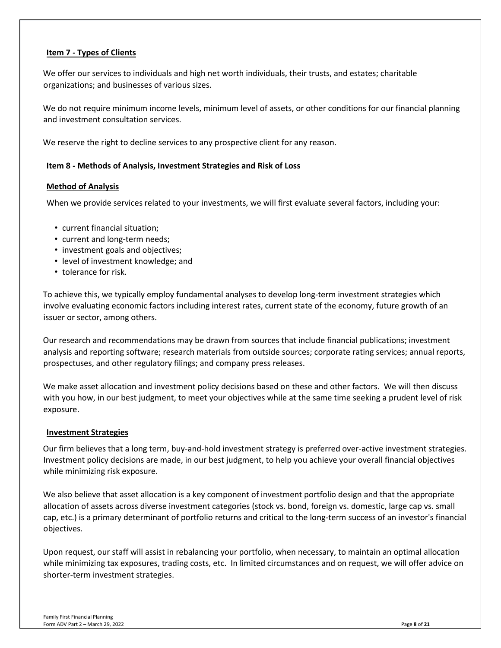## <span id="page-7-0"></span>**Item 7 - Types of Clients**

We offer our services to individuals and high net worth individuals, their trusts, and estates; charitable organizations; and businesses of various sizes.

We do not require minimum income levels, minimum level of assets, or other conditions for our financial planning and investment consultation services.

We reserve the right to decline services to any prospective client for any reason.

## <span id="page-7-1"></span>**Item 8 - Methods of Analysis, Investment Strategies and Risk of Loss**

## **Method of Analysis**

When we provide services related to your investments, we will first evaluate several factors, including your:

- current financial situation;
- current and long-term needs;
- investment goals and objectives;
- level of investment knowledge; and
- tolerance for risk.

To achieve this, we typically employ fundamental analyses to develop long-term investment strategies which involve evaluating economic factors including interest rates, current state of the economy, future growth of an issuer or sector, among others.

Our research and recommendations may be drawn from sources that include financial publications; investment analysis and reporting software; research materials from outside sources; corporate rating services; annual reports, prospectuses, and other regulatory filings; and company press releases.

We make asset allocation and investment policy decisions based on these and other factors. We will then discuss with you how, in our best judgment, to meet your objectives while at the same time seeking a prudent level of risk exposure.

## **Investment Strategies**

Our firm believes that a long term, buy-and-hold investment strategy is preferred over-active investment strategies. Investment policy decisions are made, in our best judgment, to help you achieve your overall financial objectives while minimizing risk exposure.

We also believe that asset allocation is a key component of investment portfolio design and that the appropriate allocation of assets across diverse investment categories (stock vs. bond, foreign vs. domestic, large cap vs. small cap, etc.) is a primary determinant of portfolio returns and critical to the long-term success of an investor's financial objectives.

Upon request, our staff will assist in rebalancing your portfolio, when necessary, to maintain an optimal allocation while minimizing tax exposures, trading costs, etc. In limited circumstances and on request, we will offer advice on shorter-term investment strategies.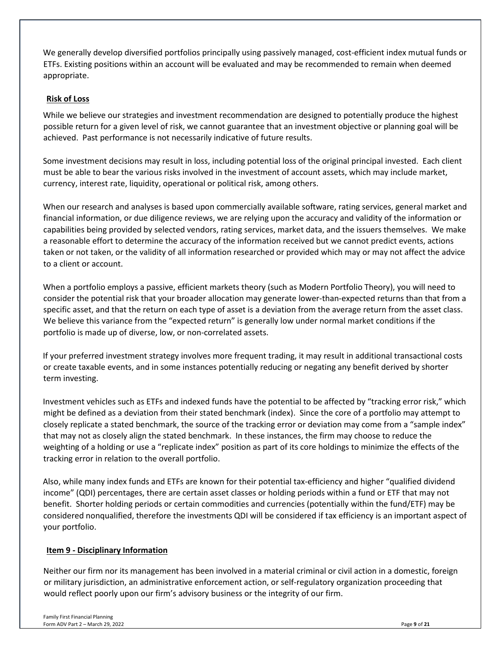We generally develop diversified portfolios principally using passively managed, cost-efficient index mutual funds or ETFs. Existing positions within an account will be evaluated and may be recommended to remain when deemed appropriate.

# **Risk of Loss**

While we believe our strategies and investment recommendation are designed to potentially produce the highest possible return for a given level of risk, we cannot guarantee that an investment objective or planning goal will be achieved. Past performance is not necessarily indicative of future results.

Some investment decisions may result in loss, including potential loss of the original principal invested. Each client must be able to bear the various risks involved in the investment of account assets, which may include market, currency, interest rate, liquidity, operational or political risk, among others.

When our research and analyses is based upon commercially available software, rating services, general market and financial information, or due diligence reviews, we are relying upon the accuracy and validity of the information or capabilities being provided by selected vendors, rating services, market data, and the issuers themselves. We make a reasonable effort to determine the accuracy of the information received but we cannot predict events, actions taken or not taken, or the validity of all information researched or provided which may or may not affect the advice to a client or account.

When a portfolio employs a passive, efficient markets theory (such as Modern Portfolio Theory), you will need to consider the potential risk that your broader allocation may generate lower-than-expected returns than that from a specific asset, and that the return on each type of asset is a deviation from the average return from the asset class. We believe this variance from the "expected return" is generally low under normal market conditions if the portfolio is made up of diverse, low, or non-correlated assets.

If your preferred investment strategy involves more frequent trading, it may result in additional transactional costs or create taxable events, and in some instances potentially reducing or negating any benefit derived by shorter term investing.

Investment vehicles such as ETFs and indexed funds have the potential to be affected by "tracking error risk," which might be defined as a deviation from their stated benchmark (index). Since the core of a portfolio may attempt to closely replicate a stated benchmark, the source of the tracking error or deviation may come from a "sample index" that may not as closely align the stated benchmark. In these instances, the firm may choose to reduce the weighting of a holding or use a "replicate index" position as part of its core holdings to minimize the effects of the tracking error in relation to the overall portfolio.

Also, while many index funds and ETFs are known for their potential tax-efficiency and higher "qualified dividend income" (QDI) percentages, there are certain asset classes or holding periods within a fund or ETF that may not benefit. Shorter holding periods or certain commodities and currencies (potentially within the fund/ETF) may be considered nonqualified, therefore the investments QDI will be considered if tax efficiency is an important aspect of your portfolio.

# <span id="page-8-0"></span>**Item 9 - Disciplinary Information**

Neither our firm nor its management has been involved in a material criminal or civil action in a domestic, foreign or military jurisdiction, an administrative enforcement action, or self-regulatory organization proceeding that would reflect poorly upon our firm's advisory business or the integrity of our firm.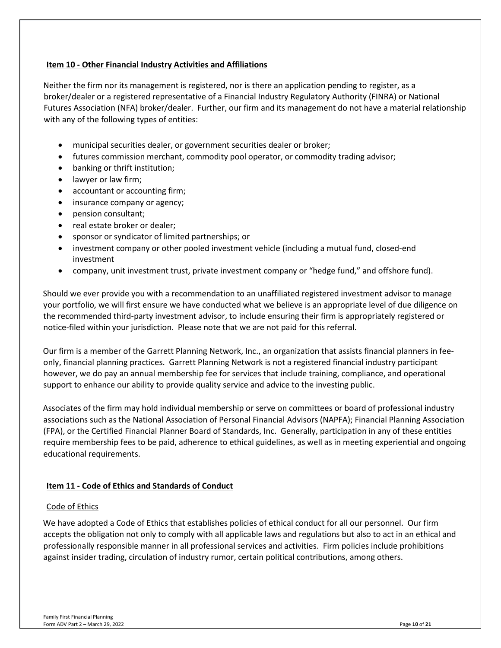## <span id="page-9-0"></span>**Item 10 - Other Financial Industry Activities and Affiliations**

Neither the firm nor its management is registered, nor is there an application pending to register, as a broker/dealer or a registered representative of a Financial Industry Regulatory Authority (FINRA) or National Futures Association (NFA) broker/dealer. Further, our firm and its management do not have a material relationship with any of the following types of entities:

- municipal securities dealer, or government securities dealer or broker;
- futures commission merchant, commodity pool operator, or commodity trading advisor;
- banking or thrift institution;
- lawyer or law firm;
- accountant or accounting firm;
- insurance company or agency;
- pension consultant;
- real estate broker or dealer;
- sponsor or syndicator of limited partnerships; or
- investment company or other pooled investment vehicle (including a mutual fund, closed-end investment
- company, unit investment trust, private investment company or "hedge fund," and offshore fund).

Should we ever provide you with a recommendation to an unaffiliated registered investment advisor to manage your portfolio, we will first ensure we have conducted what we believe is an appropriate level of due diligence on the recommended third-party investment advisor, to include ensuring their firm is appropriately registered or notice-filed within your jurisdiction. Please note that we are not paid for this referral.

Our firm is a member of the Garrett Planning Network, Inc., an organization that assists financial planners in feeonly, financial planning practices. Garrett Planning Network is not a registered financial industry participant however, we do pay an annual membership fee for services that include training, compliance, and operational support to enhance our ability to provide quality service and advice to the investing public.

Associates of the firm may hold individual membership or serve on committees or board of professional industry associations such as the National Association of Personal Financial Advisors (NAPFA); Financial Planning Association (FPA), or the Certified Financial Planner Board of Standards, Inc. Generally, participation in any of these entities require membership fees to be paid, adherence to ethical guidelines, as well as in meeting experiential and ongoing educational requirements.

## <span id="page-9-1"></span>**Item 11 - Code of Ethics and Standards of Conduct**

## Code of Ethics

We have adopted a Code of Ethics that establishes policies of ethical conduct for all our personnel. Our firm accepts the obligation not only to comply with all applicable laws and regulations but also to act in an ethical and professionally responsible manner in all professional services and activities. Firm policies include prohibitions against insider trading, circulation of industry rumor, certain political contributions, among others.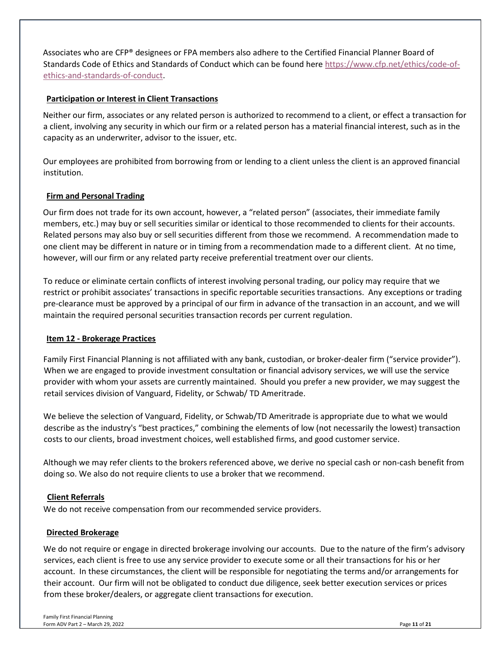Associates who are CFP® designees or FPA members also adhere to the Certified Financial Planner Board of Standards Code of Ethics and Standards of Conduct which can be found here [https://www.cfp.net/ethics/code-of](https://www.cfp.net/ethics/code-of-ethics-and-standards-of-conduct)[ethics-and-standards-of-conduct.](https://www.cfp.net/ethics/code-of-ethics-and-standards-of-conduct)

## **Participation or Interest in Client Transactions**

Neither our firm, associates or any related person is authorized to recommend to a client, or effect a transaction for a client, involving any security in which our firm or a related person has a material financial interest, such as in the capacity as an underwriter, advisor to the issuer, etc.

Our employees are prohibited from borrowing from or lending to a client unless the client is an approved financial institution.

## **Firm and Personal Trading**

Our firm does not trade for its own account, however, a "related person" (associates, their immediate family members, etc.) may buy or sell securities similar or identical to those recommended to clients for their accounts. Related persons may also buy or sell securities different from those we recommend. A recommendation made to one client may be different in nature or in timing from a recommendation made to a different client. At no time, however, will our firm or any related party receive preferential treatment over our clients.

To reduce or eliminate certain conflicts of interest involving personal trading, our policy may require that we restrict or prohibit associates' transactions in specific reportable securities transactions. Any exceptions or trading pre-clearance must be approved by a principal of our firm in advance of the transaction in an account, and we will maintain the required personal securities transaction records per current regulation.

## <span id="page-10-0"></span>**Item 12 - Brokerage Practices**

Family First Financial Planning is not affiliated with any bank, custodian, or broker-dealer firm ("service provider"). When we are engaged to provide investment consultation or financial advisory services, we will use the service provider with whom your assets are currently maintained. Should you prefer a new provider, we may suggest the retail services division of Vanguard, Fidelity, or Schwab/ TD Ameritrade.

We believe the selection of Vanguard, Fidelity, or Schwab/TD Ameritrade is appropriate due to what we would describe as the industry's "best practices," combining the elements of low (not necessarily the lowest) transaction costs to our clients, broad investment choices, well established firms, and good customer service.

Although we may refer clients to the brokers referenced above, we derive no special cash or non-cash benefit from doing so. We also do not require clients to use a broker that we recommend.

## **Client Referrals**

We do not receive compensation from our recommended service providers.

## **Directed Brokerage**

We do not require or engage in directed brokerage involving our accounts. Due to the nature of the firm's advisory services, each client is free to use any service provider to execute some or all their transactions for his or her account. In these circumstances, the client will be responsible for negotiating the terms and/or arrangements for their account. Our firm will not be obligated to conduct due diligence, seek better execution services or prices from these broker/dealers, or aggregate client transactions for execution.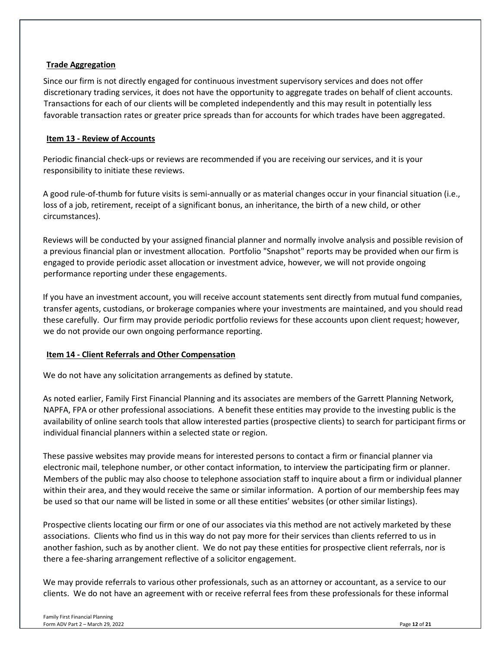## **Trade Aggregation**

Since our firm is not directly engaged for continuous investment supervisory services and does not offer discretionary trading services, it does not have the opportunity to aggregate trades on behalf of client accounts. Transactions for each of our clients will be completed independently and this may result in potentially less favorable transaction rates or greater price spreads than for accounts for which trades have been aggregated.

## <span id="page-11-0"></span>**Item 13 - Review of Accounts**

Periodic financial check-ups or reviews are recommended if you are receiving our services, and it is your responsibility to initiate these reviews.

A good rule-of-thumb for future visits is semi-annually or as material changes occur in your financial situation (i.e., loss of a job, retirement, receipt of a significant bonus, an inheritance, the birth of a new child, or other circumstances).

Reviews will be conducted by your assigned financial planner and normally involve analysis and possible revision of a previous financial plan or investment allocation. Portfolio "Snapshot" reports may be provided when our firm is engaged to provide periodic asset allocation or investment advice, however, we will not provide ongoing performance reporting under these engagements.

If you have an investment account, you will receive account statements sent directly from mutual fund companies, transfer agents, custodians, or brokerage companies where your investments are maintained, and you should read these carefully. Our firm may provide periodic portfolio reviews for these accounts upon client request; however, we do not provide our own ongoing performance reporting.

# <span id="page-11-1"></span>**Item 14 - Client Referrals and Other Compensation**

We do not have any solicitation arrangements as defined by statute.

As noted earlier, Family First Financial Planning and its associates are members of the Garrett Planning Network, NAPFA, FPA or other professional associations. A benefit these entities may provide to the investing public is the availability of online search tools that allow interested parties (prospective clients) to search for participant firms or individual financial planners within a selected state or region.

These passive websites may provide means for interested persons to contact a firm or financial planner via electronic mail, telephone number, or other contact information, to interview the participating firm or planner. Members of the public may also choose to telephone association staff to inquire about a firm or individual planner within their area, and they would receive the same or similar information. A portion of our membership fees may be used so that our name will be listed in some or all these entities' websites (or other similar listings).

Prospective clients locating our firm or one of our associates via this method are not actively marketed by these associations. Clients who find us in this way do not pay more for their services than clients referred to us in another fashion, such as by another client. We do not pay these entities for prospective client referrals, nor is there a fee-sharing arrangement reflective of a solicitor engagement.

We may provide referrals to various other professionals, such as an attorney or accountant, as a service to our clients. We do not have an agreement with or receive referral fees from these professionals for these informal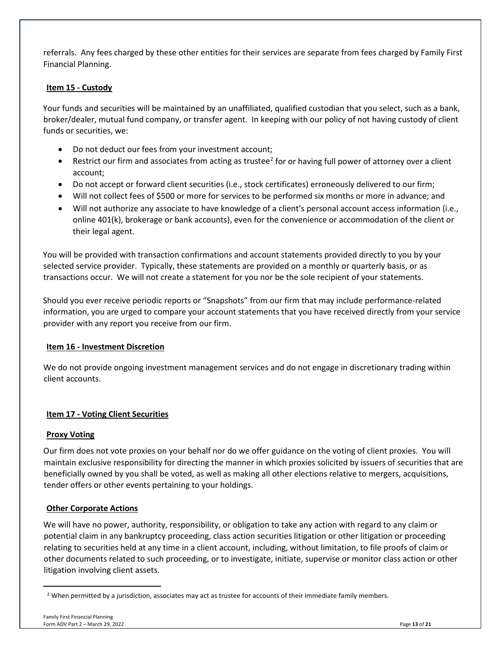referrals. Any fees charged by these other entities for their services are separate from fees charged by Family First Financial Planning.

## <span id="page-12-0"></span>**Item 15 - Custody**

Your funds and securities will be maintained by an unaffiliated, qualified custodian that you select, such as a bank, broker/dealer, mutual fund company, or transfer agent. In keeping with our policy of not having custody of client funds or securities, we:

- Do not deduct our fees from your investment account;
- Restrict our firm and associates from acting as trustee<sup>[2](#page-12-3)</sup> for or having full power of attorney over a client account;
- Do not accept or forward client securities (i.e., stock certificates) erroneously delivered to our firm;
- Will not collect fees of \$500 or more for services to be performed six months or more in advance; and
- Will not authorize any associate to have knowledge of a client's personal account access information (i.e., online 401(k), brokerage or bank accounts), even for the convenience or accommodation of the client or their legal agent.

You will be provided with transaction confirmations and account statements provided directly to you by your selected service provider. Typically, these statements are provided on a monthly or quarterly basis, or as transactions occur. We will not create a statement for you nor be the sole recipient of your statements.

Should you ever receive periodic reports or "Snapshots" from our firm that may include performance-related information, you are urged to compare your account statements that you have received directly from your service provider with any report you receive from our firm.

## <span id="page-12-1"></span>**Item 16 - Investment Discretion**

We do not provide ongoing investment management services and do not engage in discretionary trading within client accounts.

## <span id="page-12-2"></span>**Item 17 - Voting Client Securities**

## **Proxy Voting**

Our firm does not vote proxies on your behalf nor do we offer guidance on the voting of client proxies. You will maintain exclusive responsibility for directing the manner in which proxies solicited by issuers of securities that are beneficially owned by you shall be voted, as well as making all other elections relative to mergers, acquisitions, tender offers or other events pertaining to your holdings.

## **Other Corporate Actions**

We will have no power, authority, responsibility, or obligation to take any action with regard to any claim or potential claim in any bankruptcy proceeding, class action securities litigation or other litigation or proceeding relating to securities held at any time in a client account, including, without limitation, to file proofs of claim or other documents related to such proceeding, or to investigate, initiate, supervise or monitor class action or other litigation involving client assets.

<span id="page-12-3"></span><sup>&</sup>lt;sup>2</sup> When permitted by a jurisdiction, associates may act as trustee for accounts of their immediate family members.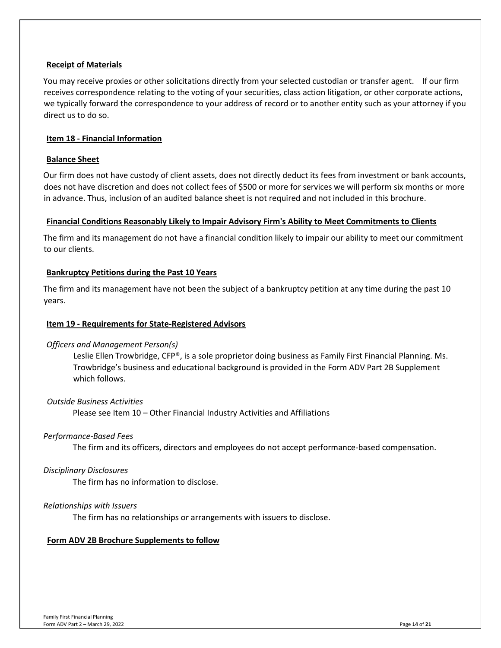## **Receipt of Materials**

You may receive proxies or other solicitations directly from your selected custodian or transfer agent. If our firm receives correspondence relating to the voting of your securities, class action litigation, or other corporate actions, we typically forward the correspondence to your address of record or to another entity such as your attorney if you direct us to do so.

#### <span id="page-13-0"></span>**Item 18 - Financial Information**

#### **Balance Sheet**

Our firm does not have custody of client assets, does not directly deduct its fees from investment or bank accounts, does not have discretion and does not collect fees of \$500 or more for services we will perform six months or more in advance. Thus, inclusion of an audited balance sheet is not required and not included in this brochure.

#### **Financial Conditions Reasonably Likely to Impair Advisory Firm's Ability to Meet Commitments to Clients**

The firm and its management do not have a financial condition likely to impair our ability to meet our commitment to our clients.

#### **Bankruptcy Petitions during the Past 10 Years**

The firm and its management have not been the subject of a bankruptcy petition at any time during the past 10 years.

#### <span id="page-13-1"></span>**Item 19 - Requirements for State-Registered Advisors**

#### *Officers and Management Person(s)*

Leslie Ellen Trowbridge, CFP®, is a sole proprietor doing business as Family First Financial Planning. Ms. Trowbridge's business and educational background is provided in the Form ADV Part 2B Supplement which follows.

#### *Outside Business Activities*

Please see Item 10 – Other Financial Industry Activities and Affiliations

#### *Performance-Based Fees*

The firm and its officers, directors and employees do not accept performance-based compensation.

#### *Disciplinary Disclosures*

The firm has no information to disclose.

#### *Relationships with Issuers*

The firm has no relationships or arrangements with issuers to disclose.

## <span id="page-13-2"></span>**Form ADV 2B Brochure Supplements to follow**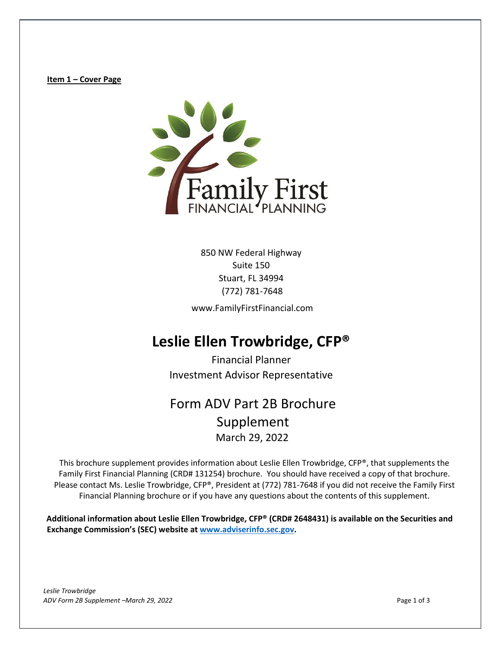**Item 1 – Cover Page** 



850 NW Federal Highway Suite 150 Stuart, FL 34994 (772) 781-7648

www.FamilyFirstFinancial.com

# **Leslie Ellen Trowbridge, CFP®**

Financial Planner Investment Advisor Representative

# Form ADV Part 2B Brochure Supplement March 29, 2022

This brochure supplement provides information about Leslie Ellen Trowbridge, CFP®, that supplements the Family First Financial Planning (CRD# 131254) brochure. You should have received a copy of that brochure. Please contact Ms. Leslie Trowbridge, CFP®, President at (772) 781-7648 if you did not receive the Family First Financial Planning brochure or if you have any questions about the contents of this supplement.

**Additional information about Leslie Ellen Trowbridge, CFP® (CRD# 2648431) is available on the Securities and Exchange Commission's (SEC) website at [www.adviserinfo.sec.gov.](http://www.adviserinfo.sec.gov/)**

*Leslie Trowbridge ADV Form 2B Supplement –March 29, 2022* Page 1 of 3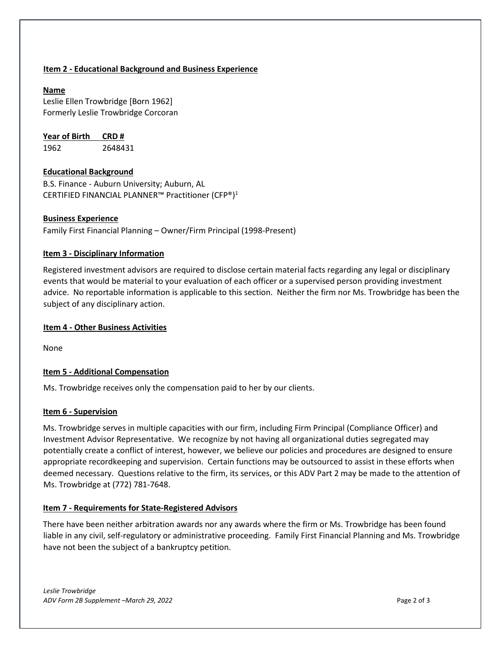## **Item 2 - Educational Background and Business Experience**

## **Name**

Leslie Ellen Trowbridge [Born 1962] Formerly Leslie Trowbridge Corcoran

**Year of Birth CRD #**

1962 2648431

## **Educational Background**

B.S. Finance - Auburn University; Auburn, AL CERTIFIED FINANCIAL PLANNER™ Practitioner (CFP®)<sup>1</sup>

## **Business Experience**

Family First Financial Planning – Owner/Firm Principal (1998-Present)

## **Item 3 - Disciplinary Information**

Registered investment advisors are required to disclose certain material facts regarding any legal or disciplinary events that would be material to your evaluation of each officer or a supervised person providing investment advice. No reportable information is applicable to this section. Neither the firm nor Ms. Trowbridge has been the subject of any disciplinary action.

## **Item 4 - Other Business Activities**

None

# **Item 5 - Additional Compensation**

Ms. Trowbridge receives only the compensation paid to her by our clients.

## **Item 6 - Supervision**

Ms. Trowbridge serves in multiple capacities with our firm, including Firm Principal (Compliance Officer) and Investment Advisor Representative. We recognize by not having all organizational duties segregated may potentially create a conflict of interest, however, we believe our policies and procedures are designed to ensure appropriate recordkeeping and supervision. Certain functions may be outsourced to assist in these efforts when deemed necessary. Questions relative to the firm, its services, or this ADV Part 2 may be made to the attention of Ms. Trowbridge at (772) 781-7648.

## **Item 7 - Requirements for State-Registered Advisors**

There have been neither arbitration awards nor any awards where the firm or Ms. Trowbridge has been found liable in any civil, self-regulatory or administrative proceeding. Family First Financial Planning and Ms. Trowbridge have not been the subject of a bankruptcy petition.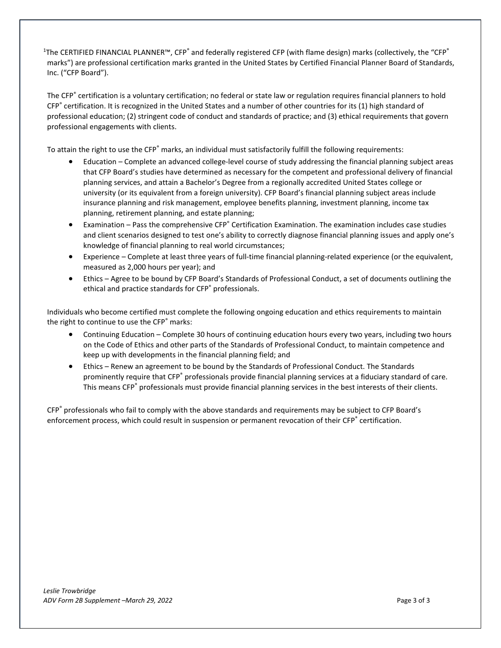<sup>1</sup>The CERTIFIED FINANCIAL PLANNER™, CFP<sup>®</sup> and federally registered CFP (with flame design) marks (collectively, the "CFP® marks") are professional certification marks granted in the United States by Certified Financial Planner Board of Standards, Inc. ("CFP Board").

The CFP<sup>®</sup> certification is a voluntary certification; no federal or state law or regulation requires financial planners to hold CFP® certification. It is recognized in the United States and a number of other countries for its (1) high standard of professional education; (2) stringent code of conduct and standards of practice; and (3) ethical requirements that govern professional engagements with clients.

To attain the right to use the CFP® marks, an individual must satisfactorily fulfill the following requirements:

- Education Complete an advanced college-level course of study addressing the financial planning subject areas that CFP Board's studies have determined as necessary for the competent and professional delivery of financial planning services, and attain a Bachelor's Degree from a regionally accredited United States college or university (or its equivalent from a foreign university). CFP Board's financial planning subject areas include insurance planning and risk management, employee benefits planning, investment planning, income tax planning, retirement planning, and estate planning;
- Examination Pass the comprehensive CFP<sup>®</sup> Certification Examination. The examination includes case studies and client scenarios designed to test one's ability to correctly diagnose financial planning issues and apply one's knowledge of financial planning to real world circumstances;
- Experience Complete at least three years of full-time financial planning-related experience (or the equivalent, measured as 2,000 hours per year); and
- Ethics Agree to be bound by CFP Board's Standards of Professional Conduct, a set of documents outlining the ethical and practice standards for CFP<sup>®</sup> professionals.

Individuals who become certified must complete the following ongoing education and ethics requirements to maintain the right to continue to use the CFP® marks:

- Continuing Education Complete 30 hours of continuing education hours every two years, including two hours on the Code of Ethics and other parts of the Standards of Professional Conduct, to maintain competence and keep up with developments in the financial planning field; and
- Ethics Renew an agreement to be bound by the Standards of Professional Conduct. The Standards prominently require that CFP® professionals provide financial planning services at a fiduciary standard of care. This means CFP<sup>®</sup> professionals must provide financial planning services in the best interests of their clients.

CFP® professionals who fail to comply with the above standards and requirements may be subject to CFP Board's enforcement process, which could result in suspension or permanent revocation of their CFP<sup>®</sup> certification.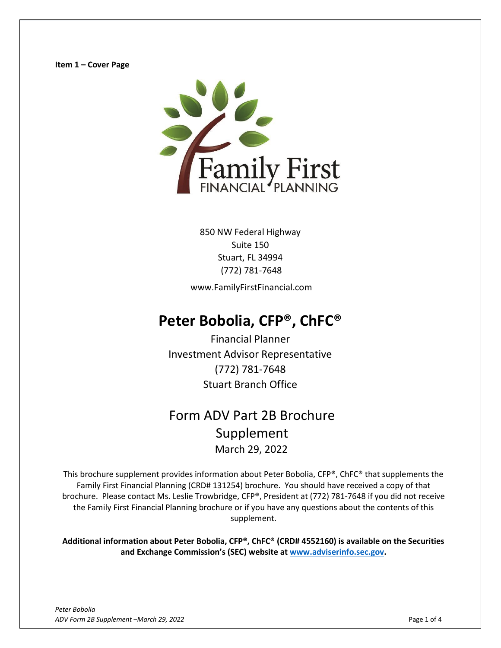

Suite 150 Stuart, FL 34994 (772) 781-7648

www.FamilyFirstFinancial.com

# **Peter Bobolia, CFP®, ChFC®**

Financial Planner Investment Advisor Representative (772) 781-7648 Stuart Branch Office

# Form ADV Part 2B Brochure Supplement March 29, 2022

This brochure supplement provides information about Peter Bobolia, CFP®, ChFC® that supplements the Family First Financial Planning (CRD# 131254) brochure. You should have received a copy of that brochure. Please contact Ms. Leslie Trowbridge, CFP®, President at (772) 781-7648 if you did not receive the Family First Financial Planning brochure or if you have any questions about the contents of this supplement.

**Additional information about Peter Bobolia, CFP®, ChFC® (CRD# 4552160) is available on the Securities and Exchange Commission's (SEC) website at [www.adviserinfo.sec.gov.](http://www.adviserinfo.sec.gov/)**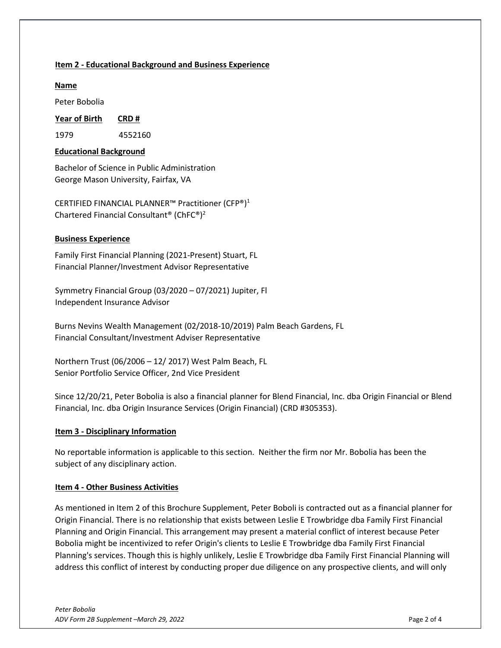## **Item 2 - Educational Background and Business Experience**

## **Name**

Peter Bobolia

**Year of Birth CRD #**

1979 4552160

## **Educational Background**

Bachelor of Science in Public Administration George Mason University, Fairfax, VA

CERTIFIED FINANCIAL PLANNER™ Practitioner (CFP®)<sup>1</sup> Chartered Financial Consultant® (ChFC®)2

## **Business Experience**

Family First Financial Planning (2021-Present) Stuart, FL Financial Planner/Investment Advisor Representative

Symmetry Financial Group (03/2020 – 07/2021) Jupiter, Fl Independent Insurance Advisor

Burns Nevins Wealth Management (02/2018-10/2019) Palm Beach Gardens, FL Financial Consultant/Investment Adviser Representative

Northern Trust (06/2006 – 12/ 2017) West Palm Beach, FL Senior Portfolio Service Officer, 2nd Vice President

Since 12/20/21, Peter Bobolia is also a financial planner for Blend Financial, Inc. dba Origin Financial or Blend Financial, Inc. dba Origin Insurance Services (Origin Financial) (CRD #305353).

## **Item 3 - Disciplinary Information**

No reportable information is applicable to this section. Neither the firm nor Mr. Bobolia has been the subject of any disciplinary action.

## **Item 4 - Other Business Activities**

As mentioned in Item 2 of this Brochure Supplement, Peter Boboli is contracted out as a financial planner for Origin Financial. There is no relationship that exists between Leslie E Trowbridge dba Family First Financial Planning and Origin Financial. This arrangement may present a material conflict of interest because Peter Bobolia might be incentivized to refer Origin's clients to Leslie E Trowbridge dba Family First Financial Planning's services. Though this is highly unlikely, Leslie E Trowbridge dba Family First Financial Planning will address this conflict of interest by conducting proper due diligence on any prospective clients, and will only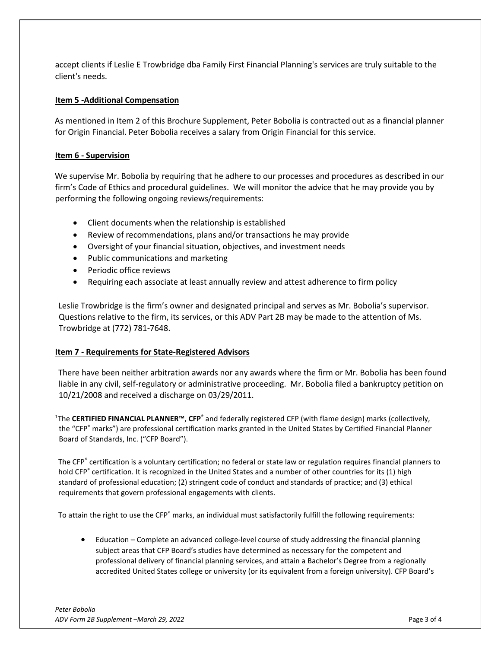accept clients if Leslie E Trowbridge dba Family First Financial Planning's services are truly suitable to the client's needs.

#### **Item 5 -Additional Compensation**

As mentioned in Item 2 of this Brochure Supplement, Peter Bobolia is contracted out as a financial planner for Origin Financial. Peter Bobolia receives a salary from Origin Financial for this service.

#### **Item 6 - Supervision**

We supervise Mr. Bobolia by requiring that he adhere to our processes and procedures as described in our firm's Code of Ethics and procedural guidelines. We will monitor the advice that he may provide you by performing the following ongoing reviews/requirements:

- Client documents when the relationship is established
- Review of recommendations, plans and/or transactions he may provide
- Oversight of your financial situation, objectives, and investment needs
- Public communications and marketing
- Periodic office reviews
- Requiring each associate at least annually review and attest adherence to firm policy

Leslie Trowbridge is the firm's owner and designated principal and serves as Mr. Bobolia's supervisor. Questions relative to the firm, its services, or this ADV Part 2B may be made to the attention of Ms. Trowbridge at (772) 781-7648.

#### **Item 7 - Requirements for State-Registered Advisors**

There have been neither arbitration awards nor any awards where the firm or Mr. Bobolia has been found liable in any civil, self-regulatory or administrative proceeding. Mr. Bobolia filed a bankruptcy petition on 10/21/2008 and received a discharge on 03/29/2011.

1 The **CERTIFIED FINANCIAL PLANNER™**, **CFP®** and federally registered CFP (with flame design) marks (collectively, the "CFP® marks") are professional certification marks granted in the United States by Certified Financial Planner Board of Standards, Inc. ("CFP Board").

The CFP<sup>®</sup> certification is a voluntary certification; no federal or state law or regulation requires financial planners to hold CFP<sup>®</sup> certification. It is recognized in the United States and a number of other countries for its (1) high standard of professional education; (2) stringent code of conduct and standards of practice; and (3) ethical requirements that govern professional engagements with clients.

To attain the right to use the CFP<sup>®</sup> marks, an individual must satisfactorily fulfill the following requirements:

• Education – Complete an advanced college-level course of study addressing the financial planning subject areas that CFP Board's studies have determined as necessary for the competent and professional delivery of financial planning services, and attain a Bachelor's Degree from a regionally accredited United States college or university (or its equivalent from a foreign university). CFP Board's